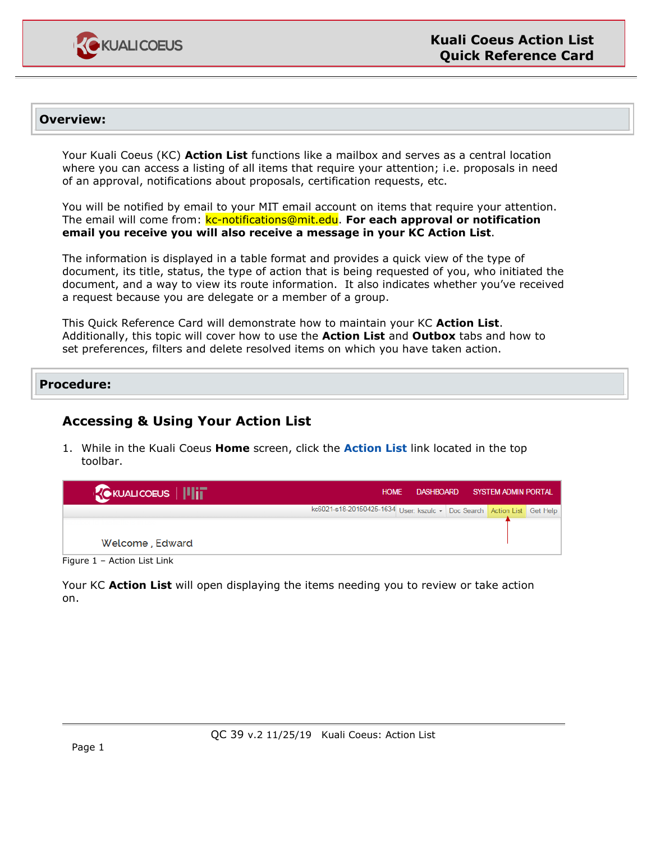

### **Overview:**

Your Kuali Coeus (KC) **Action List** functions like a mailbox and serves as a central location where you can access a listing of all items that require your attention; i.e. proposals in need of an approval, notifications about proposals, certification requests, etc.

You will be notified by email to your MIT email account on items that require your attention. The email will come from: kc-notifications@mit.edu. **For each approval or notification email you receive you will also receive a message in your KC Action List**.

The information is displayed in a table format and provides a quick view of the type of document, its title, status, the type of action that is being requested of you, who initiated the document, and a way to view its route information. It also indicates whether you've received a request because you are delegate or a member of a group.

This Quick Reference Card will demonstrate how to maintain your KC **Action List**. Additionally, this topic will cover how to use the **Action List** and **Outbox** tabs and how to set preferences, filters and delete resolved items on which you have taken action.

#### **Procedure:**

# **Accessing & Using Your Action List**

1. While in the Kuali Coeus **Home** screen, click the **Action List** link located in the top toolbar.

| kc6021-s18-20150425-1634 User: kszulc - Doc Search Action List Get Help |  |  |
|-------------------------------------------------------------------------|--|--|
|                                                                         |  |  |
| Welcome, Edward                                                         |  |  |

Figure 1 – Action List Link

Your KC **Action List** will open displaying the items needing you to review or take action on.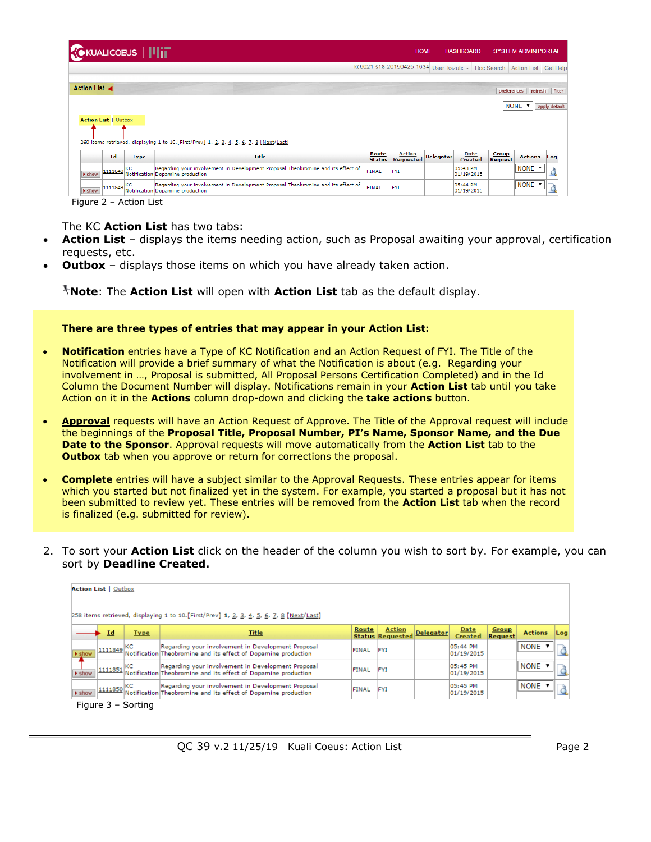| <b>KOKUALICOEUS              </b> |                   |                                                                                                                      |                        | <b>HOME</b>                       |                  | <b>DASHBOARD</b>                               |                         | <b>SYSTEM ADMIN PORTAL</b> |                |
|-----------------------------------|-------------------|----------------------------------------------------------------------------------------------------------------------|------------------------|-----------------------------------|------------------|------------------------------------------------|-------------------------|----------------------------|----------------|
|                                   |                   |                                                                                                                      |                        | kc6021-s18-20150425-1634          |                  | User: kszulc - Doc Search Action List Get Help |                         |                            |                |
| Action List ←                     |                   |                                                                                                                      |                        |                                   |                  |                                                | preferences             |                            | refresh filter |
|                                   |                   |                                                                                                                      |                        |                                   |                  |                                                |                         | NONE <b>v</b>              | apply default  |
| <b>Action List   Outbox</b>       |                   |                                                                                                                      |                        |                                   |                  |                                                |                         |                            |                |
|                                   |                   | 260 items retrieved, displaying 1 to 10. [First/Prev] 1, 2, 3, 4, 5, 6, 7, 8 [Next/Last]                             |                        |                                   |                  |                                                |                         |                            |                |
|                                   | Id<br><b>Type</b> | Title                                                                                                                | Route<br><b>Status</b> | <b>Action</b><br><b>Requested</b> | <b>Delegator</b> | <b>Date</b><br>Created                         | Group<br><b>Request</b> | <b>Actions</b> Log         |                |
| $\blacktriangleright$ show        | KC<br>1111848     | Regarding your involvement in Development Proposal Theobromine and its effect of<br>Notification Dopamine production | <b>FINAL</b>           | <b>FYI</b>                        |                  | 05:43 PM<br>01/19/2015                         |                         | <b>NONE</b>                |                |
| $\blacktriangleright$ show        | $11111849$ KC     | Regarding your involvement in Development Proposal Theobromine and its effect of<br>Notification Dopamine production | FINAL                  | FYI                               |                  | 05:44 PM<br>01/19/2015                         |                         | <b>NONE V</b>              |                |

Figure 2 – Action List

The KC **Action List** has two tabs:

- **Action List** displays the items needing action, such as Proposal awaiting your approval, certification requests, etc.
- **Outbox** displays those items on which you have already taken action.

**Note**: The **Action List** will open with **Action List** tab as the default display.

#### **There are three types of entries that may appear in your Action List:**

- **Notification** entries have a Type of KC Notification and an Action Request of FYI. The Title of the Notification will provide a brief summary of what the Notification is about (e.g. Regarding your involvement in …, Proposal is submitted, All Proposal Persons Certification Completed) and in the Id Column the Document Number will display. Notifications remain in your **Action List** tab until you take Action on it in the **Actions** column drop-down and clicking the **take actions** button.
- **Approval** requests will have an Action Request of Approve. The Title of the Approval request will include the beginnings of the **Proposal Title, Proposal Number, PI's Name, Sponsor Name, and the Due Date to the Sponsor**. Approval requests will move automatically from the **Action List** tab to the **Outbox** tab when you approve or return for corrections the proposal.
- **Complete** entries will have a subject similar to the Approval Requests. These entries appear for items which you started but not finalized yet in the system. For example, you started a proposal but it has not been submitted to review yet. These entries will be removed from the **Action List** tab when the record is finalized (e.g. submitted for review).
- 2. To sort your **Action List** click on the header of the column you wish to sort by. For example, you can sort by **Deadline Created.**

|                            | <b>Action List   Outbox</b> |             | 258 items retrieved, displaying 1 to 10. [First/Prev] 1, 2, 3, 4, 5, 6, 7, 8 [Next/Last]                             |       |                                          |                  |                        |                  |                |      |
|----------------------------|-----------------------------|-------------|----------------------------------------------------------------------------------------------------------------------|-------|------------------------------------------|------------------|------------------------|------------------|----------------|------|
|                            | Id                          | <b>Type</b> | <b>Title</b>                                                                                                         | Route | <b>Action</b><br><b>Status Requested</b> | <b>Delegator</b> | Date<br>Created        | Group<br>Request | <b>Actions</b> | Loal |
| > show                     | $11111849$ KC               |             | Regarding your involvement in Development Proposal<br>Notification Theobromine and its effect of Dopamine production | FINAL | FYI                                      |                  | 05:44 PM<br>01/19/2015 |                  | INONE ▼        |      |
| $\blacktriangleright$ show | $1111851$ KC                |             | Regarding your involvement in Development Proposal<br>Notification Theobromine and its effect of Dopamine production | FINAL | FYI                                      |                  | 05:45 PM<br>01/19/2015 |                  | <b>NONE ▼</b>  |      |
| $\blacktriangleright$ show | $1111850$ KC                |             | Regarding your involvement in Development Proposal<br>Notification Theobromine and its effect of Dopamine production | FINAL | <b>FYI</b>                               |                  | 05:45 PM<br>01/19/2015 |                  | I NONE         |      |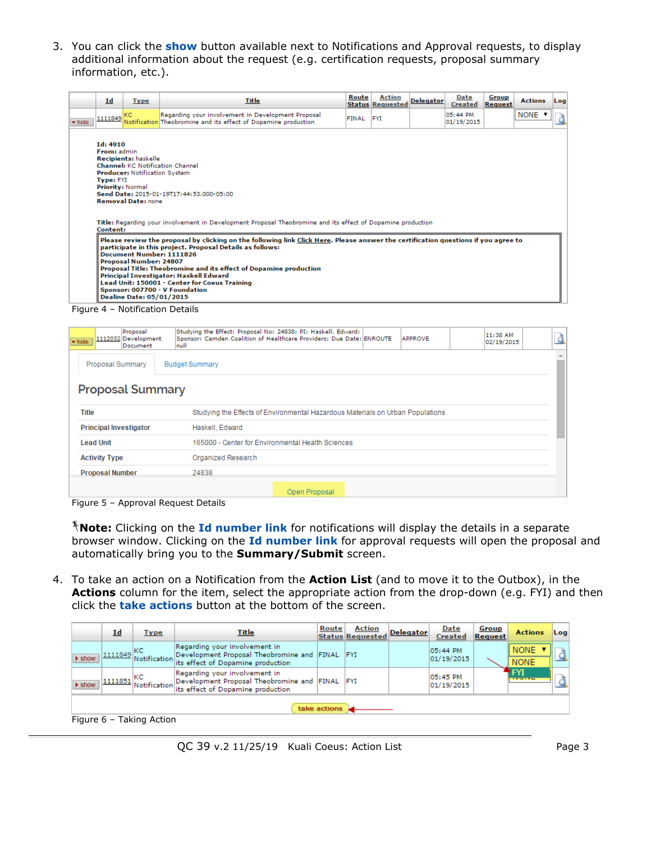3. You can click the **show** button available next to Notifications and Approval requests, to display additional information about the request (e.g. certification requests, proposal summary information, etc.).

|        | Id                                                                                                                                                                                                                                                                                                                                                                                                                                                                                                                          | <b>Type</b>                                               | Title                                                                                                                                                                                                                                                                                   | Route | <b>Action</b><br><b>Status Requested</b> | <b>Delegator</b> | Date<br><b>Created</b> | Group<br>Request | <b>Actions</b> | Log |
|--------|-----------------------------------------------------------------------------------------------------------------------------------------------------------------------------------------------------------------------------------------------------------------------------------------------------------------------------------------------------------------------------------------------------------------------------------------------------------------------------------------------------------------------------|-----------------------------------------------------------|-----------------------------------------------------------------------------------------------------------------------------------------------------------------------------------------------------------------------------------------------------------------------------------------|-------|------------------------------------------|------------------|------------------------|------------------|----------------|-----|
| w hide | 1111849                                                                                                                                                                                                                                                                                                                                                                                                                                                                                                                     | lkc                                                       | Regarding your involvement in Development Proposal<br>Notification Theobromine and its effect of Dopamine production                                                                                                                                                                    | FINAL | <b>FYI</b>                               |                  | 05:44 PM<br>01/19/2015 |                  | NONE <b>v</b>  |     |
|        | Id: 4910<br>From: admin<br><b>Recipients: haskelle</b><br><b>Channel:</b> KC Notification Channel<br><b>Producer: Notification System</b><br><b>Type: FYI</b><br>Priority: Normal<br>Send Date: 2015-01-19T17:44:53.000-05:00<br><b>Removal Date: none</b><br>Title: Regarding your involvement in Development Proposal Theobromine and its effect of Dopamine production<br>Content:<br>Please review the proposal by clicking on the following link Click Here. Please answer the certification questions if you agree to |                                                           |                                                                                                                                                                                                                                                                                         |       |                                          |                  |                        |                  |                |     |
|        |                                                                                                                                                                                                                                                                                                                                                                                                                                                                                                                             | Proposal Number: 24807<br><b>Dealine Date: 05/01/2015</b> | participate in this project. Proposal Details as follows:<br>Document Number: 1111826<br>Proposal Title: Theobromine and its effect of Dopamine production<br>Principal Investigator: Haskell Edward<br>Lead Unit: 150001 - Center for Coeus Training<br>Sponsor: 007700 - V Foundation |       |                                          |                  |                        |                  |                |     |

Figure 4 – Notification Details

| whide                                     | Proposal<br>1112032 Development<br>Document |  | Inull                               | Studying the Effect; Proposal No: 24838; PI: Haskell, Edward;<br>Sponsor: Camden Coalition of Healthcare Providers; Due Date: ENROUTE |  | APPROVE | $11:38$ AM<br>02/19/2015 | <u>à</u> |
|-------------------------------------------|---------------------------------------------|--|-------------------------------------|---------------------------------------------------------------------------------------------------------------------------------------|--|---------|--------------------------|----------|
| Proposal Summary<br><b>Budget Summary</b> |                                             |  |                                     |                                                                                                                                       |  |         |                          |          |
|                                           | <b>Proposal Summary</b>                     |  |                                     |                                                                                                                                       |  |         |                          |          |
| Title                                     |                                             |  |                                     | Studying the Effects of Environmental Hazardous Materials on Urban Populations                                                        |  |         |                          |          |
|                                           | <b>Principal Investigator</b>               |  | Haskell, Edward                     |                                                                                                                                       |  |         |                          |          |
|                                           | <b>Lead Unit</b>                            |  |                                     | 165000 - Center for Environmental Health Sciences                                                                                     |  |         |                          |          |
|                                           | <b>Activity Type</b>                        |  | Organized Research                  |                                                                                                                                       |  |         |                          |          |
|                                           | <b>Proposal Number</b>                      |  | 24838                               |                                                                                                                                       |  |         |                          |          |
|                                           |                                             |  |                                     | Open Proposal                                                                                                                         |  |         |                          |          |
|                                           |                                             |  | Figure 5 - Annroval Request Details |                                                                                                                                       |  |         |                          |          |

Figure 5 – Approval Request Details

**Note:** Clicking on the **Id number link** for notifications will display the details in a separate browser window. Clicking on the **Id number link** for approval requests will open the proposal and automatically bring you to the **Summary/Submit** screen.

4. To take an action on a Notification from the **Action List** (and to move it to the Outbox), in the **Actions** column for the item, select the appropriate action from the drop-down (e.g. FYI) and then click the **take actions** button at the bottom of the screen.

|                            | Id                       | <b>Type</b> | Title                                                                                                                             | Route | <b>Action</b><br><b>Status Requested</b> | <b>Delegator</b> | Date<br>Created        | Group<br>Request | <b>Actions</b>                     | Log |
|----------------------------|--------------------------|-------------|-----------------------------------------------------------------------------------------------------------------------------------|-------|------------------------------------------|------------------|------------------------|------------------|------------------------------------|-----|
| > show                     | $\neg$ 11111849 KC       |             | Regarding your involvement in<br>Development Proposal Theobromine and FINAL FYI<br>Notification its effect of Dopamine production |       |                                          |                  | 05:44 PM<br>01/19/2015 |                  | <b>NONE</b><br><b>NONE</b>         |     |
| $\blacktriangleright$ show | $-11111851$ KC           |             | Regarding your involvement in<br>Development Proposal Theobromine and FINAL FYI<br>Notification its effect of Dopamine production |       |                                          |                  | 05:45 PM<br>01/19/2015 |                  | FYI<br><b><i>THE SPEED FOR</i></b> |     |
|                            | take actions             |             |                                                                                                                                   |       |                                          |                  |                        |                  |                                    |     |
|                            | Figure 6 - Taking Action |             |                                                                                                                                   |       |                                          |                  |                        |                  |                                    |     |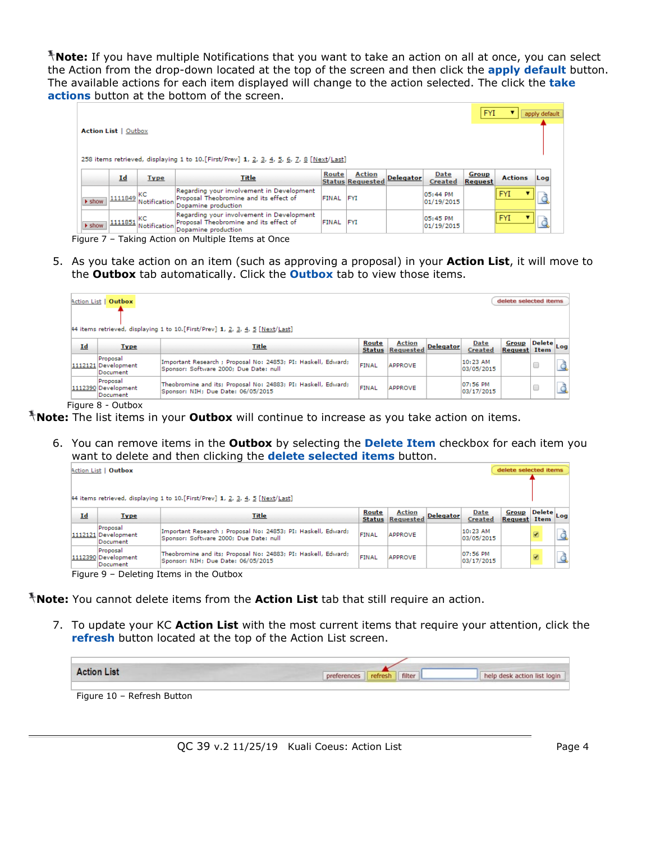**Note:** If you have multiple Notifications that you want to take an action on all at once, you can select the Action from the drop-down located at the top of the screen and then click the **apply default** button. The available actions for each item displayed will change to the action selected. The click the **take actions** button at the bottom of the screen.

|                             |                         |              |                                                                                                            |                  |                                          |                  |                        | <b>FYI</b>       |                | apply default |
|-----------------------------|-------------------------|--------------|------------------------------------------------------------------------------------------------------------|------------------|------------------------------------------|------------------|------------------------|------------------|----------------|---------------|
| <b>Action List   Outbox</b> |                         |              | 258 items retrieved, displaying 1 to 10. [First/Prev] 1, 2, 3, 4, 5, 6, 7, 8 [Next/Last]                   |                  |                                          |                  |                        |                  |                |               |
|                             | Id                      | <b>Type</b>  | Title                                                                                                      | Route            | <b>Action</b><br><b>Status Requested</b> | <b>Delegator</b> | Date<br><b>Created</b> | Group<br>Request | <b>Actions</b> | Log           |
| $\blacktriangleright$ show  | $\frac{11111849}{1}$ KC | Notification | Regarding your involvement in Development<br>Proposal Theobromine and its effect of<br>Dopamine production | <b>FINAL FYI</b> |                                          |                  | 05:44 PM<br>01/19/2015 |                  | <b>FYI</b>     |               |
| $\blacktriangleright$ show  | $\frac{11111851}{1}$ KC | Notification | Regarding your involvement in Development<br>Proposal Theobromine and its effect of<br>Dopamine production | FINAL FYI        |                                          |                  | 05:45 PM<br>01/19/2015 |                  | <b>FYI</b>     |               |

Figure 7 – Taking Action on Multiple Items at Once

5. As you take action on an item (such as approving a proposal) in your **Action List**, it will move to the **Outbox** tab automatically. Click the **Outbox** tab to view those items.

|    | Action List   Outbox                        | 44 items retrieved, displaying 1 to 10. [First/Prev] 1, 2, 3, 4, 5 [Next/Last]                          |       |                                          |                  |                        | delete selected items        |              |  |
|----|---------------------------------------------|---------------------------------------------------------------------------------------------------------|-------|------------------------------------------|------------------|------------------------|------------------------------|--------------|--|
| Id | <b>Type</b>                                 | Title                                                                                                   | Route | <b>Action</b><br><b>Status Requested</b> | <b>Delegator</b> | Date<br>Created        | Group<br><b>Request</b> Item | , Delete Log |  |
|    | Proposal<br>1112121 Development<br>Document | Important Research ; Proposal No: 24853; PI: Haskell, Edward;<br>Sponsor: Software 2000; Due Date: null | FINAL | <b>APPROVE</b>                           |                  | 10:23 AM<br>03/05/2015 |                              |              |  |
|    | Proposal<br>1112390 Development<br>Document | Theobromine and its; Proposal No: 24883; PI: Haskell, Edward;<br>Sponsor: NIH: Due Date: 06/05/2015     | FINAL | <b>APPROVE</b>                           |                  | 07:56 PM<br>03/17/2015 |                              |              |  |

Figure 8 - Outbox

**Note:** The list items in your **Outbox** will continue to increase as you take action on items.

6. You can remove items in the **Outbox** by selecting the **Delete Item** checkbox for each item you want to delete and then clicking the **delete selected items** button.

| delete selected items<br><b>Action List   Outbox</b> |                                             |                                                                                                         |                        |                            |                  |                        |                              |              |  |
|------------------------------------------------------|---------------------------------------------|---------------------------------------------------------------------------------------------------------|------------------------|----------------------------|------------------|------------------------|------------------------------|--------------|--|
|                                                      |                                             | 44 items retrieved, displaying 1 to 10. [First/Prev] 1, 2, 3, 4, 5 [Next/Last]                          |                        |                            |                  |                        |                              |              |  |
| $Id$                                                 | <b>Type</b>                                 | <u>Title</u>                                                                                            | Route<br><b>Status</b> | <b>Action</b><br>Requested | <b>Delegator</b> | Date<br>Created        | Group<br><b>Request Item</b> | J Delete Log |  |
|                                                      | Proposal<br>1112121 Development<br>Document | Important Research ; Proposal No: 24853; PI: Haskell, Edward;<br>Sponsor: Software 2000: Due Date: null | FINAL                  | <b>APPROVE</b>             |                  | 10:23 AM<br>03/05/2015 |                              |              |  |
|                                                      | Proposal<br>1112390 Development<br>Document | Theobromine and its; Proposal No: 24883; PI: Haskell, Edward;<br>Sponsor: NIH: Due Date: 06/05/2015     | FINAL                  | <b>APPROVE</b>             |                  | 07:56 PM<br>03/17/2015 |                              | ⊽            |  |

Figure 9 – Deleting Items in the Outbox

**Note:** You cannot delete items from the **Action List** tab that still require an action.

7. To update your KC **Action List** with the most current items that require your attention, click the **refresh** button located at the top of the Action List screen.

| <b>Action List</b>         | filter<br>refresh | help desk action list login |
|----------------------------|-------------------|-----------------------------|
| Figure 10 - Refresh Button |                   |                             |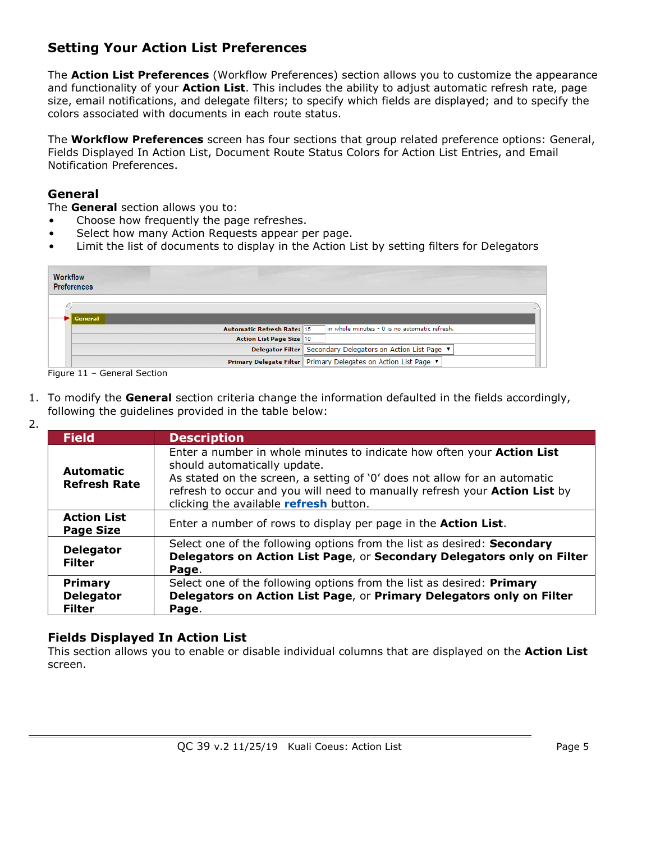# **Setting Your Action List Preferences**

The **Action List Preferences** (Workflow Preferences) section allows you to customize the appearance and functionality of your **Action List**. This includes the ability to adjust automatic refresh rate, page size, email notifications, and delegate filters; to specify which fields are displayed; and to specify the colors associated with documents in each route status.

The **Workflow Preferences** screen has four sections that group related preference options: General, Fields Displayed In Action List, Document Route Status Colors for Action List Entries, and Email Notification Preferences.

# **General**

The **General** section allows you to:

- Choose how frequently the page refreshes.
- Select how many Action Requests appear per page.
- Limit the list of documents to display in the Action List by setting filters for Delegators

| <b>Workflow</b><br><b>Preferences</b> |                                                                   |
|---------------------------------------|-------------------------------------------------------------------|
| <b>General</b>                        |                                                                   |
| <b>Automatic Refresh Rate: 15</b>     | in whole minutes - 0 is no automatic refresh.                     |
| Action List Page Size 10              |                                                                   |
|                                       | Delegator Filter Secondary Delegators on Action List Page ▼       |
|                                       | Primary Delegate Filter   Primary Delegates on Action List Page ▼ |

Figure 11 – General Section

- 1. To modify the **General** section criteria change the information defaulted in the fields accordingly, following the guidelines provided in the table below:
- 2.

| <b>Field</b>                                        | <b>Description</b>                                                                                                                                                                                                                                                                                                 |
|-----------------------------------------------------|--------------------------------------------------------------------------------------------------------------------------------------------------------------------------------------------------------------------------------------------------------------------------------------------------------------------|
| <b>Automatic</b><br><b>Refresh Rate</b>             | Enter a number in whole minutes to indicate how often your <b>Action List</b><br>should automatically update.<br>As stated on the screen, a setting of '0' does not allow for an automatic<br>refresh to occur and you will need to manually refresh your Action List by<br>clicking the available refresh button. |
| <b>Action List</b><br><b>Page Size</b>              | Enter a number of rows to display per page in the <b>Action List</b> .                                                                                                                                                                                                                                             |
| <b>Delegator</b><br><b>Filter</b>                   | Select one of the following options from the list as desired: Secondary<br>Delegators on Action List Page, or Secondary Delegators only on Filter<br>Page.                                                                                                                                                         |
| <b>Primary</b><br><b>Delegator</b><br><b>Filter</b> | Select one of the following options from the list as desired: Primary<br>Delegators on Action List Page, or Primary Delegators only on Filter<br>Page.                                                                                                                                                             |

# **Fields Displayed In Action List**

This section allows you to enable or disable individual columns that are displayed on the **Action List** screen.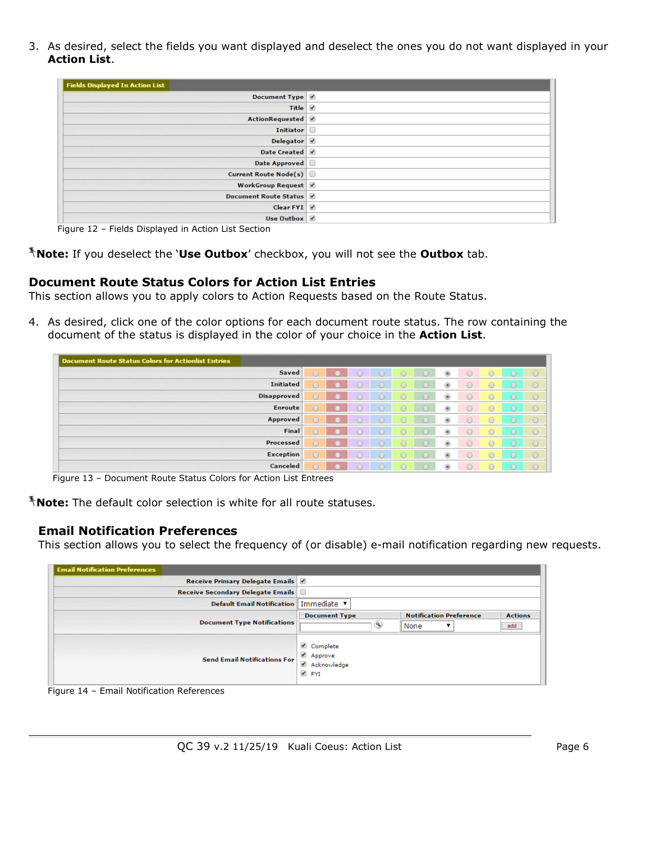3. As desired, select the fields you want displayed and deselect the ones you do not want displayed in your **Action List**.

| <b>Fields Displayed In Action List</b> |  |
|----------------------------------------|--|
| Document Type                          |  |
| Title 0                                |  |
| ActionRequested                        |  |
| Initiator                              |  |
| Delegator /                            |  |
| Date Created                           |  |
| Date Approved                          |  |
| Current Route Node(s)                  |  |
| WorkGroup Request                      |  |
| Document Route Status                  |  |
| Clear FYI <sup>J</sup>                 |  |
| Use Outbox                             |  |

Figure 12 – Fields Displayed in Action List Section

**Note:** If you deselect the '**Use Outbox**' checkbox, you will not see the **Outbox** tab.

### **Document Route Status Colors for Action List Entries**

This section allows you to apply colors to Action Requests based on the Route Status.

4. As desired, click one of the color options for each document route status. The row containing the document of the status is displayed in the color of your choice in the **Action List**.

| Document Route Status Colors for Actionlist Entries |            |  |   |         |            |         |         |
|-----------------------------------------------------|------------|--|---|---------|------------|---------|---------|
| <b>Saved</b>                                        |            |  |   | $\circ$ | ∩          |         | $\circ$ |
| <b>Initiated</b>                                    | $\circ$    |  |   | ۵       |            |         | $\circ$ |
| <b>Disapproved</b>                                  | $\sqrt{2}$ |  |   | 6       |            |         | $\circ$ |
| Enroute                                             | $\odot$    |  | € | 6       | ⋒          | $\circ$ | $\circ$ |
| Approved                                            | $\sqrt{2}$ |  |   | ۵       |            |         | $\circ$ |
| Final                                               | $\circ$    |  |   | @.      |            |         | $\circ$ |
| Processed                                           | $\circ$    |  |   | 6       | $\cap$     |         | $\circ$ |
| <b>Exception</b>                                    | $\sim$     |  |   | 6       |            |         | $\circ$ |
| Canceled                                            | $\circ$    |  |   | 逾       | $\bigcirc$ | ∩       | $\circ$ |

Figure 13 – Document Route Status Colors for Action List Entrees

**Note:** The default color selection is white for all route statuses.

### **Email Notification Preferences**

This section allows you to select the frequency of (or disable) e-mail notification regarding new requests.

| <b>Email Notification Preferences</b> |                                                                                                              |
|---------------------------------------|--------------------------------------------------------------------------------------------------------------|
| Receive Primary Delegate Emails       |                                                                                                              |
| Receive Secondary Delegate Emails     |                                                                                                              |
| <b>Default Email Notification</b>     | Immediate v                                                                                                  |
| <b>Document Type Notifications</b>    | <b>Notification Preference</b><br><b>Document Type</b><br><b>Actions</b><br>$\mathbf{e}$<br>None<br>add<br>▼ |
| <b>Send Email Notifications For</b>   | Complete<br>Approve<br>Acknowledge<br><b>ØFYI</b>                                                            |

Figure 14 – Email Notification References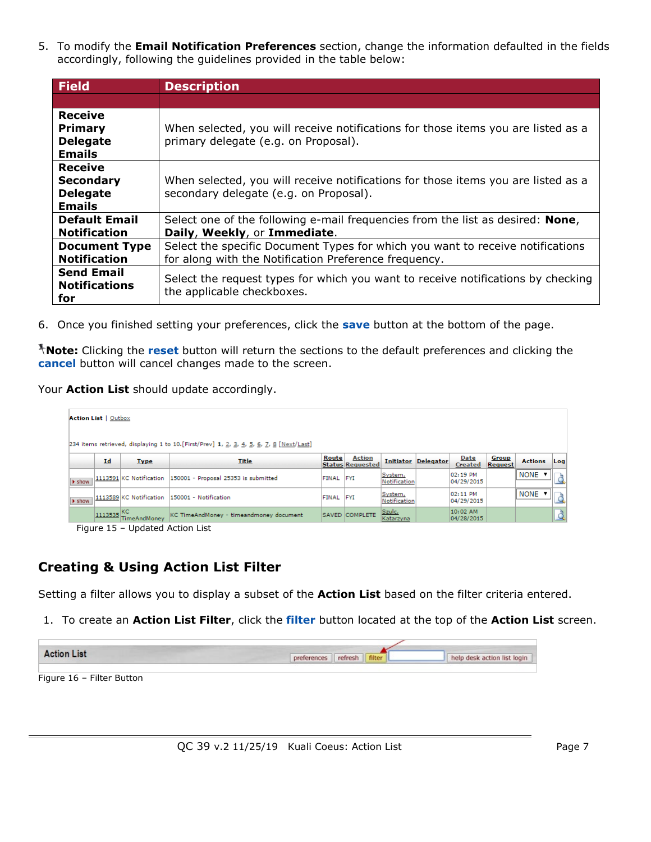5. To modify the **Email Notification Preferences** section, change the information defaulted in the fields accordingly, following the guidelines provided in the table below:

| <b>Field</b>                                                           | <b>Description</b>                                                                                                                      |
|------------------------------------------------------------------------|-----------------------------------------------------------------------------------------------------------------------------------------|
|                                                                        |                                                                                                                                         |
| <b>Receive</b><br><b>Primary</b><br><b>Delegate</b><br><b>Emails</b>   | When selected, you will receive notifications for those items you are listed as a<br>primary delegate (e.g. on Proposal).               |
| <b>Receive</b><br><b>Secondary</b><br><b>Delegate</b><br><b>Emails</b> | When selected, you will receive notifications for those items you are listed as a<br>secondary delegate (e.g. on Proposal).             |
| <b>Default Email</b><br><b>Notification</b>                            | Select one of the following e-mail frequencies from the list as desired: None,<br>Daily, Weekly, or Immediate.                          |
| <b>Document Type</b><br><b>Notification</b>                            | Select the specific Document Types for which you want to receive notifications<br>for along with the Notification Preference frequency. |
| <b>Send Email</b><br><b>Notifications</b><br>for                       | Select the request types for which you want to receive notifications by checking<br>the applicable checkboxes.                          |

6. Once you finished setting your preferences, click the **save** button at the bottom of the page.

**Note:** Clicking the **reset** button will return the sections to the default preferences and clicking the **cancel** button will cancel changes made to the screen.

Your **Action List** should update accordingly.

|                            | <b>Action List   Outbox</b> |                         |                                                                                          |           |                                          |                         |                            |                        |                  |                |     |
|----------------------------|-----------------------------|-------------------------|------------------------------------------------------------------------------------------|-----------|------------------------------------------|-------------------------|----------------------------|------------------------|------------------|----------------|-----|
|                            |                             |                         | 234 items retrieved, displaying 1 to 10. [First/Prev] 1, 2, 3, 4, 5, 6, 7, 8 [Next/Last] |           |                                          |                         |                            |                        |                  |                |     |
|                            | Id                          | <b>Type</b>             | <b>Title</b>                                                                             | Route     | <b>Action</b><br><b>Status Requested</b> |                         | <b>Initiator Delegator</b> | Date<br><b>Created</b> | Group<br>Request | <b>Actions</b> | Log |
| $\blacktriangleright$ show |                             | 1113591 KC Notification | 150001 - Proposal 25353 is submitted                                                     | FINAL FYI |                                          | System,<br>Notification |                            | 02:19 PM<br>04/29/2015 |                  | NONE <b>v</b>  |     |
| $\blacktriangleright$ show |                             | 1113589 KC Notification | 150001 - Notification                                                                    | FINAL FYI |                                          | System,<br>Notification |                            | 02:11 PM<br>04/29/2015 |                  | <b>NONE</b>    |     |
|                            | $1113535$ KC                | <b>TimeAndMoney</b>     | KC TimeAndMoney - timeandmoney document                                                  |           | SAVED COMPLETE                           | Szulc,<br>Katarzyna     |                            | 10:02 AM<br>04/28/2015 |                  |                |     |

Figure 15 – Updated Action List

# **Creating & Using Action List Filter**

Setting a filter allows you to display a subset of the **Action List** based on the filter criteria entered.

1. To create an **Action List Filter**, click the **filter** button located at the top of the **Action List** screen.

| <b>Action List</b> | refresh<br>filter<br>Df | help desk action list login |
|--------------------|-------------------------|-----------------------------|
|                    |                         |                             |

Figure 16 – Filter Button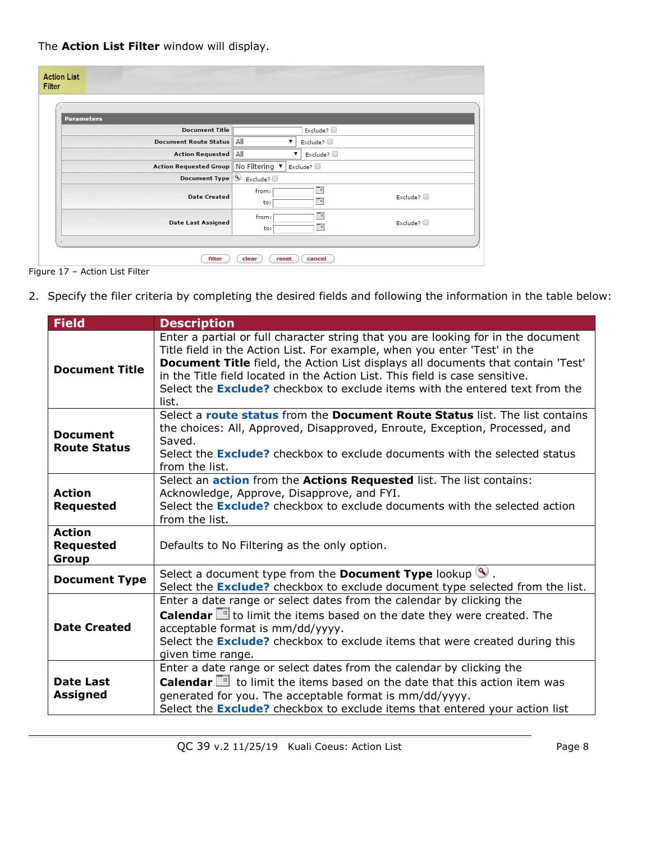The **Action List Filter** window will display.

| <b>Action List</b><br>Filter       |                                                 |  |  |  |
|------------------------------------|-------------------------------------------------|--|--|--|
|                                    |                                                 |  |  |  |
| <b>Parameters</b>                  |                                                 |  |  |  |
| <b>Document Title</b>              | Exclude? $\Box$                                 |  |  |  |
| <b>Document Route Status</b>       | All<br>Exclude?                                 |  |  |  |
| <b>Action Requested</b>            | All<br>Exclude?                                 |  |  |  |
| <b>Action Requested Group</b>      | No Filtering ▼<br>Exclude?                      |  |  |  |
| <b>Document Type</b>               | $\bullet$ Exclude?                              |  |  |  |
| <b>Date Created</b>                | To<br>from:<br>Exclude?<br>To.<br>to:           |  |  |  |
| <b>Date Last Assigned</b>          | 70<br>from:<br>Exclude? $\square$<br>To.<br>to: |  |  |  |
|                                    |                                                 |  |  |  |
| filter<br>clear<br>reset<br>cancel |                                                 |  |  |  |

Figure 17 – Action List Filter

2. Specify the filer criteria by completing the desired fields and following the information in the table below:

| <b>Field</b>                               | <b>Description</b>                                                                                                                                                                                                                                                                                                                                                                                                                 |
|--------------------------------------------|------------------------------------------------------------------------------------------------------------------------------------------------------------------------------------------------------------------------------------------------------------------------------------------------------------------------------------------------------------------------------------------------------------------------------------|
| <b>Document Title</b>                      | Enter a partial or full character string that you are looking for in the document<br>Title field in the Action List. For example, when you enter 'Test' in the<br>Document Title field, the Action List displays all documents that contain 'Test'<br>in the Title field located in the Action List. This field is case sensitive.<br>Select the <b>Exclude?</b> checkbox to exclude items with the entered text from the<br>list. |
| <b>Document</b><br><b>Route Status</b>     | Select a route status from the Document Route Status list. The list contains<br>the choices: All, Approved, Disapproved, Enroute, Exception, Processed, and<br>Saved.<br>Select the <b>Exclude?</b> checkbox to exclude documents with the selected status<br>from the list.                                                                                                                                                       |
| <b>Action</b><br><b>Requested</b>          | Select an <b>action</b> from the <b>Actions Requested</b> list. The list contains:<br>Acknowledge, Approve, Disapprove, and FYI.<br>Select the <b>Exclude?</b> checkbox to exclude documents with the selected action<br>from the list.                                                                                                                                                                                            |
| <b>Action</b><br><b>Requested</b><br>Group | Defaults to No Filtering as the only option.                                                                                                                                                                                                                                                                                                                                                                                       |
| <b>Document Type</b>                       | Select a document type from the <b>Document Type</b> lookup $\mathbf{S}$ .<br>Select the <b>Exclude?</b> checkbox to exclude document type selected from the list.                                                                                                                                                                                                                                                                 |
| <b>Date Created</b>                        | Enter a date range or select dates from the calendar by clicking the<br>Calendar <b>E</b> to limit the items based on the date they were created. The<br>acceptable format is mm/dd/yyyy.<br>Select the <b>Exclude?</b> checkbox to exclude items that were created during this<br>given time range.                                                                                                                               |
| <b>Date Last</b><br><b>Assigned</b>        | Enter a date range or select dates from the calendar by clicking the<br><b>Calendar</b> $\mathbb{H}$ to limit the items based on the date that this action item was<br>generated for you. The acceptable format is mm/dd/yyyy.<br>Select the <b>Exclude?</b> checkbox to exclude items that entered your action list                                                                                                               |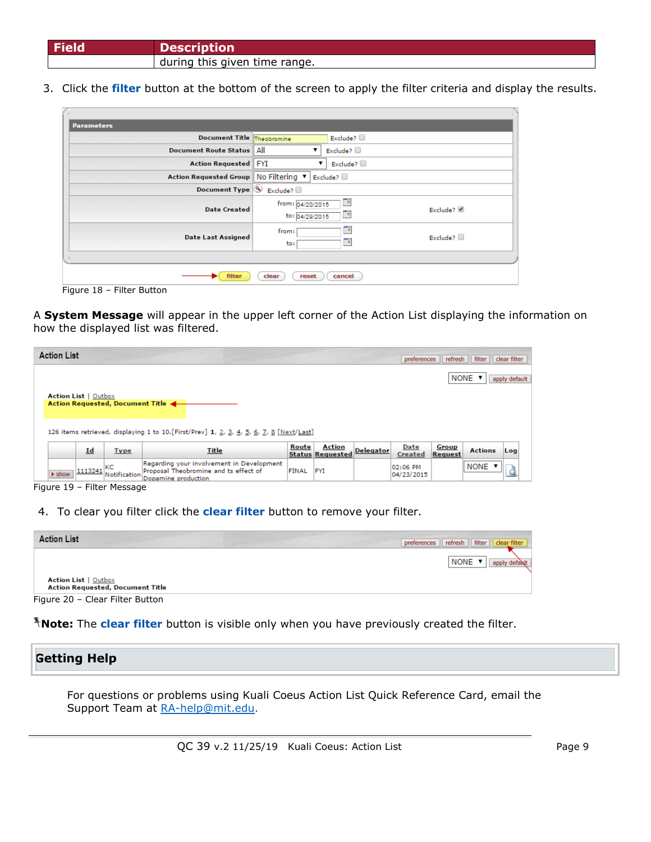| <b>Field</b> | <b>Description</b>            |
|--------------|-------------------------------|
|              | during this given time range. |

3. Click the **filter** button at the bottom of the screen to apply the filter criteria and display the results.

| <b>Parameters</b>                                                         |                                    |                    |          |  |  |
|---------------------------------------------------------------------------|------------------------------------|--------------------|----------|--|--|
| <b>Document Title Theobromine</b>                                         |                                    | Exclude? $\square$ |          |  |  |
| <b>Document Route Status</b>                                              | All                                | Exclude? $\Box$    |          |  |  |
| <b>Action Requested</b>                                                   | <b>FYI</b>                         | Exclude? $\square$ |          |  |  |
| <b>Action Requested Group</b>                                             | No Filtering v                     | Exclude?           |          |  |  |
| Document Type $\left \mathcal{F}\right $ Exclude?                         |                                    |                    |          |  |  |
| <b>Date Created</b>                                                       | from: 04/20/2015<br>to: 04/29/2015 | Te.<br>To          | Exclude? |  |  |
| To.<br>from:<br>Exclude? $\Box$<br><b>Date Last Assigned</b><br>To<br>to: |                                    |                    |          |  |  |
|                                                                           |                                    |                    |          |  |  |
| filter<br>clear<br>reset<br>cancel                                        |                                    |                    |          |  |  |

Figure 18 – Filter Button

A **System Message** will appear in the upper left corner of the Action List displaying the information on how the displayed list was filtered.

| <b>Action List</b>          |         |                                  |                                                                                                           |       |                                          |                  | preferences            | refresh          | filter         | clear filter  |  |
|-----------------------------|---------|----------------------------------|-----------------------------------------------------------------------------------------------------------|-------|------------------------------------------|------------------|------------------------|------------------|----------------|---------------|--|
| <b>Action List</b>   Outbox |         | Action Requested, Document Title |                                                                                                           |       |                                          |                  |                        |                  | NONE Y         | apply default |  |
|                             |         |                                  | 126 items retrieved, displaying 1 to 10. [First/Prev] 1, 2, 3, 4, 5, 6, 7, 8 [Next/Last]                  |       |                                          |                  |                        |                  |                |               |  |
|                             | Id      | <b>Type</b>                      | Title                                                                                                     | Route | <b>Action</b><br><b>Status Requested</b> | <b>Delegator</b> | Date<br>Created        | Group<br>Request | <b>Actions</b> | Log           |  |
| $\blacktriangleright$ show  | 1113241 | KC<br>Notification               | Regarding your involvement in Development<br>Proposal Theobromine and ts effect of<br>Donamine production | FINAL | <b>FYI</b>                               |                  | 02:06 PM<br>04/23/2015 |                  | NONE <b>v</b>  |               |  |

Figure 19 – Filter Message

4. To clear you filter click the **clear filter** button to remove your filter.

| <b>Action List</b>                                                     | filter   clear filter<br>refresh<br>preferences |
|------------------------------------------------------------------------|-------------------------------------------------|
|                                                                        | NONE <b>v</b><br>apply default                  |
| <b>Action List   Outbox</b><br><b>Action Requested, Document Title</b> |                                                 |
| Figure 20 - Clear Filter Button                                        |                                                 |

Figure 20 – Clear Filter Button

**Note:** The **clear filter** button is visible only when you have previously created the filter.

| <b>Getting Help</b> |  |
|---------------------|--|
|                     |  |

For questions or problems using Kuali Coeus Action List Quick Reference Card, email the Support Team at [RA-help@mit.edu.](mailto:RA-help@mit.edu)